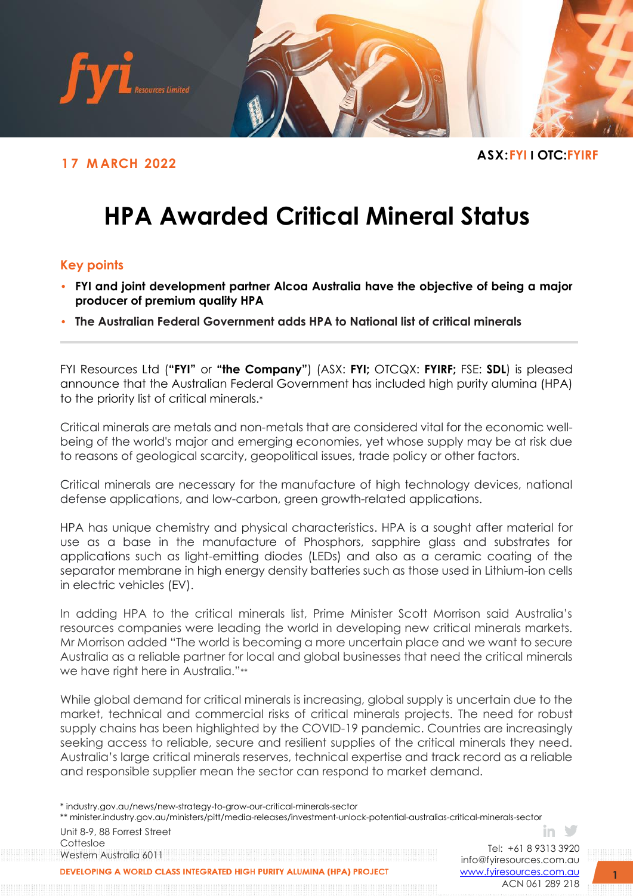

## **ASX:FYI <sup>I</sup> OTC:FYIRF 1 7 <sup>M</sup> ARCH <sup>2022</sup>**

# **HPA Awarded Critical Mineral Status**

### **Key points**

- **FYI and joint development partner Alcoa Australia have the objective of being a major producer of premium quality HPA**
- **The Australian Federal Government adds HPA to National list of critical minerals**

FYI Resources Ltd (**"FYI"** or **"the Company"**) (ASX: **FYI;** OTCQX: **FYIRF;** FSE: **SDL**) is pleased announce that the Australian Federal Government has included high purity alumina (HPA) to the priority list of critical minerals.\*

Critical minerals are metals and non-metals that are considered vital for the economic wellbeing of the world's major and emerging economies, yet whose supply may be at risk due to reasons of geological scarcity, geopolitical issues, trade policy or other factors.

Critical minerals are necessary for the manufacture of high technology devices, national defense applications, and low-carbon, green growth-related applications.

HPA has unique chemistry and physical characteristics. HPA is a sought after material for use as a base in the manufacture of Phosphors, sapphire glass and substrates for applications such as light-emitting diodes (LEDs) and also as a ceramic coating of the separator membrane in high energy density batteries such as those used in Lithium-ion cells in electric vehicles (EV).

In adding HPA to the critical minerals list, Prime Minister Scott Morrison said Australia's resources companies were leading the world in developing new critical minerals markets. Mr Morrison added "The world is becoming a more uncertain place and we want to secure Australia as a reliable partner for local and global businesses that need the critical minerals we have right here in Australia."\*\*

While global demand for critical minerals is increasing, global supply is uncertain due to the market, technical and commercial risks of critical minerals projects. The need for robust supply chains has been highlighted by the COVID-19 pandemic. Countries are increasingly seeking access to reliable, secure and resilient supplies of the critical minerals they need. Australia's large critical minerals reserves, technical expertise and track record as a reliable and responsible supplier mean the sector can respond to market demand.

\* industry.gov.au/news/new-strategy-to-grow-our-critical-minerals-sector

\*\* minister.industry.gov.au/ministers/pitt/media-releases/investment-unlock-potential-australias-critical-minerals-sector

Unit 8-9, 88 Forrest Street Cottesloe Western Australia 6011

Tel: +61 8 9313 3920 [info@fyiresources.com.au](mailto:info@fyiresources.com.au) [www.fyiresources.com.au](mailto:https://www.fyiresources.com.au/) ACN 061 289 218

in  $\vee$